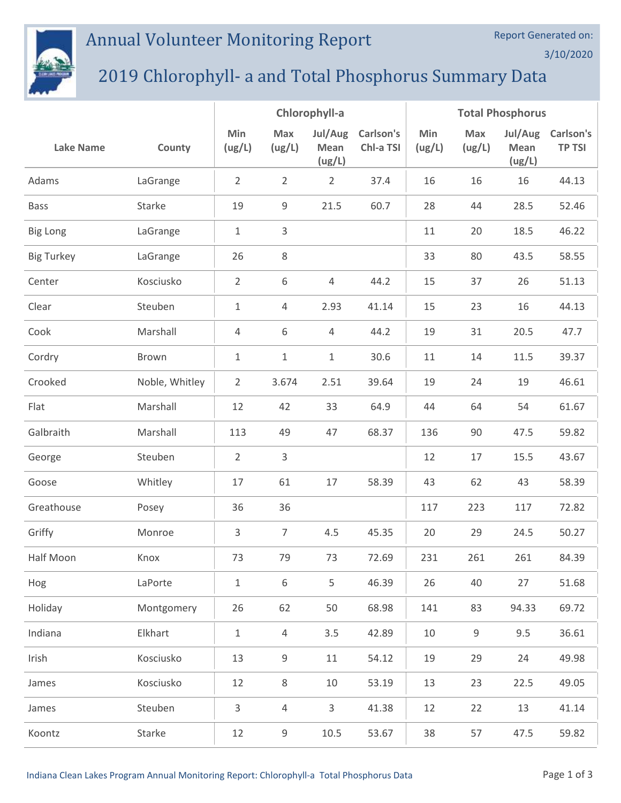## Annual Volunteer Monitoring Report



## 2019 Chlorophyll- a and Total Phosphorus Summary Data

|                   |                | Chlorophyll-a  |                |                           | <b>Total Phosphorus</b> |               |               |                           |                            |
|-------------------|----------------|----------------|----------------|---------------------------|-------------------------|---------------|---------------|---------------------------|----------------------------|
| <b>Lake Name</b>  | County         | Min<br>(ug/L)  | Max<br>(ug/L)  | Jul/Aug<br>Mean<br>(ug/L) | Carlson's<br>Chl-a TSI  | Min<br>(ug/L) | Max<br>(ug/L) | Jul/Aug<br>Mean<br>(ug/L) | Carlson's<br><b>TP TSI</b> |
| Adams             | LaGrange       | $\overline{2}$ | $\overline{2}$ | $\overline{2}$            | 37.4                    | 16            | 16            | 16                        | 44.13                      |
| <b>Bass</b>       | Starke         | 19             | 9              | 21.5                      | 60.7                    | 28            | 44            | 28.5                      | 52.46                      |
| <b>Big Long</b>   | LaGrange       | $\mathbf 1$    | 3              |                           |                         | 11            | 20            | 18.5                      | 46.22                      |
| <b>Big Turkey</b> | LaGrange       | 26             | 8              |                           |                         | 33            | 80            | 43.5                      | 58.55                      |
| Center            | Kosciusko      | $\overline{2}$ | 6              | $\overline{4}$            | 44.2                    | 15            | 37            | 26                        | 51.13                      |
| Clear             | Steuben        | 1              | 4              | 2.93                      | 41.14                   | 15            | 23            | 16                        | 44.13                      |
| Cook              | Marshall       | 4              | 6              | 4                         | 44.2                    | 19            | 31            | 20.5                      | 47.7                       |
| Cordry            | Brown          | 1              | $\mathbf 1$    | 1                         | 30.6                    | 11            | 14            | 11.5                      | 39.37                      |
| Crooked           | Noble, Whitley | $\overline{2}$ | 3.674          | 2.51                      | 39.64                   | 19            | 24            | 19                        | 46.61                      |
| Flat              | Marshall       | 12             | 42             | 33                        | 64.9                    | 44            | 64            | 54                        | 61.67                      |
| Galbraith         | Marshall       | 113            | 49             | 47                        | 68.37                   | 136           | 90            | 47.5                      | 59.82                      |
| George            | Steuben        | $\overline{2}$ | 3              |                           |                         | 12            | 17            | 15.5                      | 43.67                      |
| Goose             | Whitley        | 17             | 61             | 17                        | 58.39                   | 43            | 62            | 43                        | 58.39                      |
| Greathouse        | Posey          | 36             | 36             |                           |                         | 117           | 223           | 117                       | 72.82                      |
| Griffy            | Monroe         | 3              | $\overline{7}$ | 4.5                       | 45.35                   | 20            | 29            | 24.5                      | 50.27                      |
| Half Moon         | Knox           | 73             | 79             | 73                        | 72.69                   | 231           | 261           | 261                       | 84.39                      |
| Hog               | LaPorte        | $\mathbf{1}$   | 6              | 5                         | 46.39                   | 26            | 40            | 27                        | 51.68                      |
| Holiday           | Montgomery     | 26             | 62             | 50                        | 68.98                   | 141           | 83            | 94.33                     | 69.72                      |
| Indiana           | Elkhart        | $\mathbf{1}$   | $\overline{4}$ | 3.5                       | 42.89                   | 10            | 9             | 9.5                       | 36.61                      |
| Irish             | Kosciusko      | 13             | 9              | 11                        | 54.12                   | 19            | 29            | 24                        | 49.98                      |
| James             | Kosciusko      | 12             | 8              | 10                        | 53.19                   | 13            | 23            | 22.5                      | 49.05                      |
| James             | Steuben        | 3              | 4              | 3                         | 41.38                   | 12            | 22            | 13                        | 41.14                      |
| Koontz            | Starke         | 12             | 9              | $10.5\,$                  | 53.67                   | 38            | 57            | 47.5                      | 59.82                      |

Report Generated on:

3/10/2020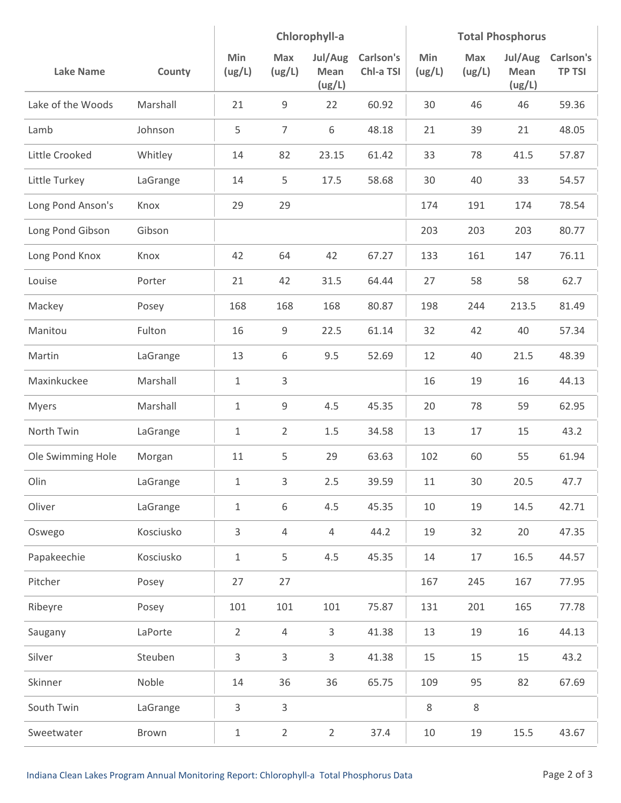|                   |           | Chlorophyll-a  |                |                           | <b>Total Phosphorus</b> |               |                      |                           |                            |
|-------------------|-----------|----------------|----------------|---------------------------|-------------------------|---------------|----------------------|---------------------------|----------------------------|
| <b>Lake Name</b>  | County    | Min<br>(ug/L)  | Max<br>(ug/L)  | Jul/Aug<br>Mean<br>(ug/L) | Carlson's<br>Chl-a TSI  | Min<br>(ug/L) | <b>Max</b><br>(ug/L) | Jul/Aug<br>Mean<br>(ug/L) | Carlson's<br><b>TP TSI</b> |
| Lake of the Woods | Marshall  | 21             | 9              | 22                        | 60.92                   | 30            | 46                   | 46                        | 59.36                      |
| Lamb              | Johnson   | 5              | $\overline{7}$ | 6                         | 48.18                   | 21            | 39                   | 21                        | 48.05                      |
| Little Crooked    | Whitley   | 14             | 82             | 23.15                     | 61.42                   | 33            | 78                   | 41.5                      | 57.87                      |
| Little Turkey     | LaGrange  | 14             | 5              | 17.5                      | 58.68                   | 30            | 40                   | 33                        | 54.57                      |
| Long Pond Anson's | Knox      | 29             | 29             |                           |                         | 174           | 191                  | 174                       | 78.54                      |
| Long Pond Gibson  | Gibson    |                |                |                           |                         | 203           | 203                  | 203                       | 80.77                      |
| Long Pond Knox    | Knox      | 42             | 64             | 42                        | 67.27                   | 133           | 161                  | 147                       | 76.11                      |
| Louise            | Porter    | 21             | 42             | 31.5                      | 64.44                   | 27            | 58                   | 58                        | 62.7                       |
| Mackey            | Posey     | 168            | 168            | 168                       | 80.87                   | 198           | 244                  | 213.5                     | 81.49                      |
| Manitou           | Fulton    | 16             | 9              | 22.5                      | 61.14                   | 32            | 42                   | 40                        | 57.34                      |
| Martin            | LaGrange  | 13             | 6              | 9.5                       | 52.69                   | 12            | 40                   | 21.5                      | 48.39                      |
| Maxinkuckee       | Marshall  | $\mathbf{1}$   | 3              |                           |                         | 16            | 19                   | 16                        | 44.13                      |
| <b>Myers</b>      | Marshall  | $\mathbf{1}$   | 9              | 4.5                       | 45.35                   | 20            | 78                   | 59                        | 62.95                      |
| North Twin        | LaGrange  | $\mathbf{1}$   | $\overline{2}$ | 1.5                       | 34.58                   | 13            | 17                   | 15                        | 43.2                       |
| Ole Swimming Hole | Morgan    | 11             | 5              | 29                        | 63.63                   | 102           | 60                   | 55                        | 61.94                      |
| Olin              | LaGrange  | $\mathbf{1}$   | 3              | 2.5                       | 39.59                   | $11\,$        | 30                   | 20.5                      | 47.7                       |
| Oliver            | LaGrange  | $\,1\,$        | 6              | 4.5                       | 45.35                   | 10            | 19                   | 14.5                      | 42.71                      |
| Oswego            | Kosciusko | $\mathsf{3}$   | $\overline{4}$ | $\overline{4}$            | 44.2                    | 19            | 32                   | 20                        | 47.35                      |
| Papakeechie       | Kosciusko | $\,1\,$        | 5              | 4.5                       | 45.35                   | 14            | 17                   | 16.5                      | 44.57                      |
| Pitcher           | Posey     | 27             | 27             |                           |                         | 167           | 245                  | 167                       | 77.95                      |
| Ribeyre           | Posey     | 101            | 101            | 101                       | 75.87                   | 131           | 201                  | 165                       | 77.78                      |
| Saugany           | LaPorte   | $\overline{2}$ | $\overline{4}$ | 3                         | 41.38                   | 13            | 19                   | 16                        | 44.13                      |
| Silver            | Steuben   | 3              | 3              | $\mathsf{3}$              | 41.38                   | 15            | 15                   | 15                        | 43.2                       |
| Skinner           | Noble     | 14             | 36             | 36                        | 65.75                   | 109           | 95                   | 82                        | 67.69                      |
| South Twin        | LaGrange  | $\mathbf{3}$   | 3              |                           |                         | 8             | 8                    |                           |                            |
| Sweetwater        | Brown     | $\mathbf 1$    | $\overline{2}$ | $\overline{2}$            | 37.4                    | 10            | 19                   | 15.5                      | 43.67                      |